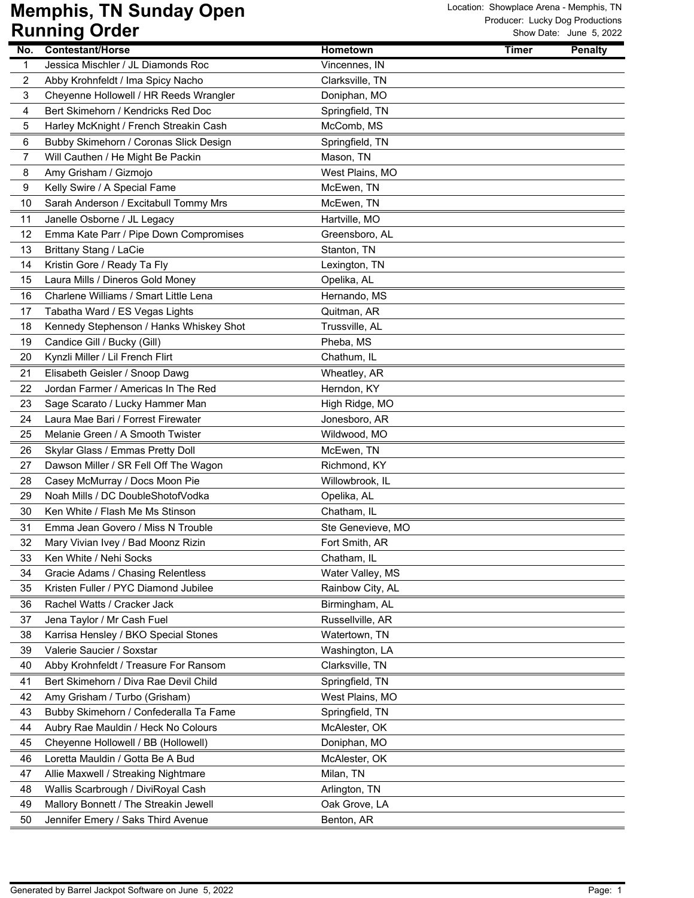| No. | <b>Contestant/Horse</b>                 | <b>Hometown</b>   | <b>Timer</b> | <b>Penalty</b> |
|-----|-----------------------------------------|-------------------|--------------|----------------|
| 1   | Jessica Mischler / JL Diamonds Roc      | Vincennes, IN     |              |                |
| 2   | Abby Krohnfeldt / Ima Spicy Nacho       | Clarksville, TN   |              |                |
| 3   | Cheyenne Hollowell / HR Reeds Wrangler  | Doniphan, MO      |              |                |
| 4   | Bert Skimehorn / Kendricks Red Doc      | Springfield, TN   |              |                |
| 5   | Harley McKnight / French Streakin Cash  | McComb, MS        |              |                |
| 6   | Bubby Skimehorn / Coronas Slick Design  | Springfield, TN   |              |                |
| 7   | Will Cauthen / He Might Be Packin       | Mason, TN         |              |                |
| 8   | Amy Grisham / Gizmojo                   | West Plains, MO   |              |                |
| 9   | Kelly Swire / A Special Fame            | McEwen, TN        |              |                |
| 10  | Sarah Anderson / Excitabull Tommy Mrs   | McEwen, TN        |              |                |
| 11  | Janelle Osborne / JL Legacy             | Hartville, MO     |              |                |
| 12  | Emma Kate Parr / Pipe Down Compromises  | Greensboro, AL    |              |                |
| 13  | Brittany Stang / LaCie                  | Stanton, TN       |              |                |
| 14  | Kristin Gore / Ready Ta Fly             | Lexington, TN     |              |                |
| 15  | Laura Mills / Dineros Gold Money        | Opelika, AL       |              |                |
| 16  | Charlene Williams / Smart Little Lena   | Hernando, MS      |              |                |
| 17  | Tabatha Ward / ES Vegas Lights          | Quitman, AR       |              |                |
| 18  | Kennedy Stephenson / Hanks Whiskey Shot | Trussville, AL    |              |                |
| 19  | Candice Gill / Bucky (Gill)             | Pheba, MS         |              |                |
| 20  | Kynzli Miller / Lil French Flirt        | Chathum, IL       |              |                |
| 21  | Elisabeth Geisler / Snoop Dawg          | Wheatley, AR      |              |                |
| 22  | Jordan Farmer / Americas In The Red     | Herndon, KY       |              |                |
| 23  | Sage Scarato / Lucky Hammer Man         | High Ridge, MO    |              |                |
| 24  | Laura Mae Bari / Forrest Firewater      | Jonesboro, AR     |              |                |
| 25  | Melanie Green / A Smooth Twister        | Wildwood, MO      |              |                |
| 26  | Skylar Glass / Emmas Pretty Doll        | McEwen, TN        |              |                |
| 27  | Dawson Miller / SR Fell Off The Wagon   | Richmond, KY      |              |                |
| 28  | Casey McMurray / Docs Moon Pie          | Willowbrook, IL   |              |                |
| 29  | Noah Mills / DC DoubleShotofVodka       | Opelika, AL       |              |                |
| 30  | Ken White / Flash Me Ms Stinson         | Chatham, IL       |              |                |
| 31  | Emma Jean Govero / Miss N Trouble       | Ste Genevieve, MO |              |                |
| 32  | Mary Vivian Ivey / Bad Moonz Rizin      | Fort Smith, AR    |              |                |
| 33  | Ken White / Nehi Socks                  | Chatham, IL       |              |                |
| 34  | Gracie Adams / Chasing Relentless       | Water Valley, MS  |              |                |
| 35  | Kristen Fuller / PYC Diamond Jubilee    | Rainbow City, AL  |              |                |
| 36  | Rachel Watts / Cracker Jack             | Birmingham, AL    |              |                |
| 37  | Jena Taylor / Mr Cash Fuel              | Russellville, AR  |              |                |
| 38  | Karrisa Hensley / BKO Special Stones    | Watertown, TN     |              |                |
| 39  | Valerie Saucier / Soxstar               | Washington, LA    |              |                |
| 40  | Abby Krohnfeldt / Treasure For Ransom   | Clarksville, TN   |              |                |
| 41  | Bert Skimehorn / Diva Rae Devil Child   | Springfield, TN   |              |                |
| 42  | Amy Grisham / Turbo (Grisham)           | West Plains, MO   |              |                |
| 43  | Bubby Skimehorn / Confederalla Ta Fame  | Springfield, TN   |              |                |
| 44  | Aubry Rae Mauldin / Heck No Colours     | McAlester, OK     |              |                |
| 45  | Cheyenne Hollowell / BB (Hollowell)     | Doniphan, MO      |              |                |
| 46  | Loretta Mauldin / Gotta Be A Bud        | McAlester, OK     |              |                |
| 47  | Allie Maxwell / Streaking Nightmare     | Milan, TN         |              |                |
| 48  | Wallis Scarbrough / DiviRoyal Cash      | Arlington, TN     |              |                |
| 49  | Mallory Bonnett / The Streakin Jewell   | Oak Grove, LA     |              |                |
| 50  | Jennifer Emery / Saks Third Avenue      | Benton, AR        |              |                |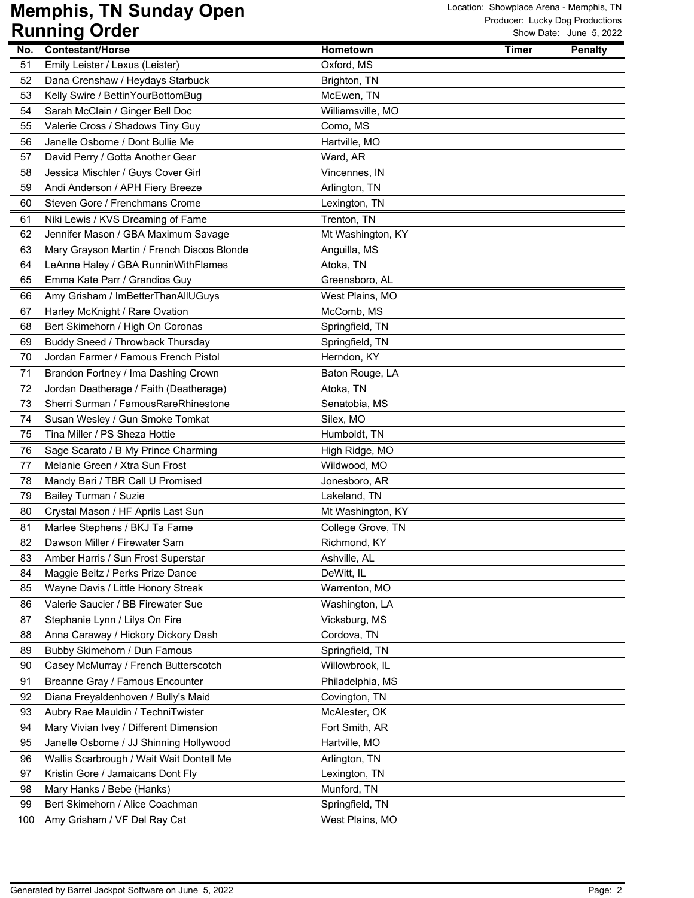|          | ישטיש פייייייישי                           |                   |              |                |
|----------|--------------------------------------------|-------------------|--------------|----------------|
| No.      | <b>Contestant/Horse</b>                    | <b>Hometown</b>   | <b>Timer</b> | <b>Penalty</b> |
| 51       | Emily Leister / Lexus (Leister)            | Oxford, MS        |              |                |
| 52       | Dana Crenshaw / Heydays Starbuck           | Brighton, TN      |              |                |
| 53       | Kelly Swire / BettinYourBottomBug          | McEwen, TN        |              |                |
| 54       | Sarah McClain / Ginger Bell Doc            | Williamsville, MO |              |                |
| 55       | Valerie Cross / Shadows Tiny Guy           | Como, MS          |              |                |
| 56       | Janelle Osborne / Dont Bullie Me           | Hartville, MO     |              |                |
| 57       | David Perry / Gotta Another Gear           | Ward, AR          |              |                |
| 58       | Jessica Mischler / Guys Cover Girl         | Vincennes, IN     |              |                |
| 59       | Andi Anderson / APH Fiery Breeze           | Arlington, TN     |              |                |
| 60       | Steven Gore / Frenchmans Crome             | Lexington, TN     |              |                |
| 61       | Niki Lewis / KVS Dreaming of Fame          | Trenton, TN       |              |                |
| 62       | Jennifer Mason / GBA Maximum Savage        | Mt Washington, KY |              |                |
| 63       | Mary Grayson Martin / French Discos Blonde | Anguilla, MS      |              |                |
| 64       | LeAnne Haley / GBA RunninWithFlames        | Atoka, TN         |              |                |
| 65       | Emma Kate Parr / Grandios Guy              | Greensboro, AL    |              |                |
| 66       | Amy Grisham / ImBetterThanAllUGuys         | West Plains, MO   |              |                |
| 67       | Harley McKnight / Rare Ovation             | McComb, MS        |              |                |
| 68       | Bert Skimehorn / High On Coronas           | Springfield, TN   |              |                |
| 69       | Buddy Sneed / Throwback Thursday           | Springfield, TN   |              |                |
| 70       | Jordan Farmer / Famous French Pistol       | Herndon, KY       |              |                |
| 71       | Brandon Fortney / Ima Dashing Crown        | Baton Rouge, LA   |              |                |
| 72       | Jordan Deatherage / Faith (Deatherage)     | Atoka, TN         |              |                |
| 73       | Sherri Surman / FamousRareRhinestone       | Senatobia, MS     |              |                |
| 74       | Susan Wesley / Gun Smoke Tomkat            | Silex, MO         |              |                |
| 75       | Tina Miller / PS Sheza Hottie              | Humboldt, TN      |              |                |
| 76       | Sage Scarato / B My Prince Charming        | High Ridge, MO    |              |                |
| 77       | Melanie Green / Xtra Sun Frost             | Wildwood, MO      |              |                |
| 78       | Mandy Bari / TBR Call U Promised           | Jonesboro, AR     |              |                |
| 79       | Bailey Turman / Suzie                      | Lakeland, TN      |              |                |
| 80       | Crystal Mason / HF Aprils Last Sun         | Mt Washington, KY |              |                |
| 81       | Marlee Stephens / BKJ Ta Fame              | College Grove, TN |              |                |
| 82       | Dawson Miller / Firewater Sam              | Richmond, KY      |              |                |
| 83       | Amber Harris / Sun Frost Superstar         | Ashville, AL      |              |                |
| 84       | Maggie Beitz / Perks Prize Dance           | DeWitt, IL        |              |                |
| 85       | Wayne Davis / Little Honory Streak         | Warrenton, MO     |              |                |
| 86       | Valerie Saucier / BB Firewater Sue         | Washington, LA    |              |                |
| 87       | Stephanie Lynn / Lilys On Fire             | Vicksburg, MS     |              |                |
| 88       | Anna Caraway / Hickory Dickory Dash        | Cordova, TN       |              |                |
| 89       | Bubby Skimehorn / Dun Famous               | Springfield, TN   |              |                |
| 90       | Casey McMurray / French Butterscotch       | Willowbrook, IL   |              |                |
| 91       | Breanne Gray / Famous Encounter            | Philadelphia, MS  |              |                |
| 92       | Diana Freyaldenhoven / Bully's Maid        | Covington, TN     |              |                |
| 93       | Aubry Rae Mauldin / TechniTwister          | McAlester, OK     |              |                |
| 94       | Mary Vivian Ivey / Different Dimension     | Fort Smith, AR    |              |                |
| 95       | Janelle Osborne / JJ Shinning Hollywood    | Hartville, MO     |              |                |
|          | Wallis Scarbrough / Wait Wait Dontell Me   | Arlington, TN     |              |                |
| 96<br>97 | Kristin Gore / Jamaicans Dont Fly          | Lexington, TN     |              |                |
| 98       | Mary Hanks / Bebe (Hanks)                  | Munford, TN       |              |                |
| 99       | Bert Skimehorn / Alice Coachman            | Springfield, TN   |              |                |
| 100      | Amy Grisham / VF Del Ray Cat               | West Plains, MO   |              |                |
|          |                                            |                   |              |                |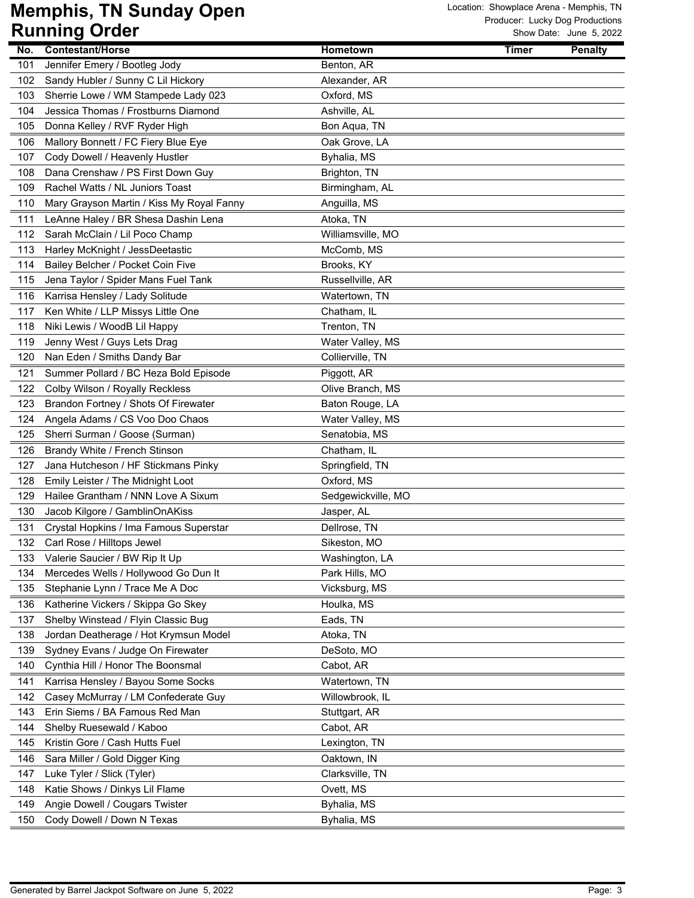|     | .<br>$\bullet$ , $\bullet$ ,                                      |                    |              |                |
|-----|-------------------------------------------------------------------|--------------------|--------------|----------------|
| No. | <b>Contestant/Horse</b>                                           | Hometown           | <b>Timer</b> | <b>Penalty</b> |
| 101 | Jennifer Emery / Bootleg Jody                                     | Benton, AR         |              |                |
| 102 | Sandy Hubler / Sunny C Lil Hickory                                | Alexander, AR      |              |                |
| 103 | Sherrie Lowe / WM Stampede Lady 023                               | Oxford, MS         |              |                |
| 104 | Jessica Thomas / Frostburns Diamond                               | Ashville, AL       |              |                |
| 105 | Donna Kelley / RVF Ryder High                                     | Bon Aqua, TN       |              |                |
| 106 | Mallory Bonnett / FC Fiery Blue Eye                               | Oak Grove, LA      |              |                |
| 107 | Cody Dowell / Heavenly Hustler                                    | Byhalia, MS        |              |                |
| 108 | Dana Crenshaw / PS First Down Guy                                 | Brighton, TN       |              |                |
| 109 | Rachel Watts / NL Juniors Toast                                   | Birmingham, AL     |              |                |
| 110 | Mary Grayson Martin / Kiss My Royal Fanny                         | Anguilla, MS       |              |                |
| 111 | LeAnne Haley / BR Shesa Dashin Lena                               | Atoka, TN          |              |                |
| 112 | Sarah McClain / Lil Poco Champ                                    | Williamsville, MO  |              |                |
| 113 | Harley McKnight / JessDeetastic                                   | McComb, MS         |              |                |
| 114 | Bailey Belcher / Pocket Coin Five                                 | Brooks, KY         |              |                |
| 115 | Jena Taylor / Spider Mans Fuel Tank                               | Russellville, AR   |              |                |
| 116 | Karrisa Hensley / Lady Solitude                                   | Watertown, TN      |              |                |
| 117 | Ken White / LLP Missys Little One                                 | Chatham, IL        |              |                |
| 118 | Niki Lewis / WoodB Lil Happy                                      | Trenton, TN        |              |                |
| 119 | Jenny West / Guys Lets Drag                                       | Water Valley, MS   |              |                |
| 120 | Nan Eden / Smiths Dandy Bar                                       | Collierville, TN   |              |                |
| 121 | Summer Pollard / BC Heza Bold Episode                             | Piggott, AR        |              |                |
| 122 | Colby Wilson / Royally Reckless                                   | Olive Branch, MS   |              |                |
| 123 | Brandon Fortney / Shots Of Firewater                              | Baton Rouge, LA    |              |                |
| 124 |                                                                   | Water Valley, MS   |              |                |
|     | Angela Adams / CS Voo Doo Chaos<br>Sherri Surman / Goose (Surman) | Senatobia, MS      |              |                |
| 125 |                                                                   |                    |              |                |
| 126 | Brandy White / French Stinson                                     | Chatham, IL        |              |                |
| 127 | Jana Hutcheson / HF Stickmans Pinky                               | Springfield, TN    |              |                |
| 128 | Emily Leister / The Midnight Loot                                 | Oxford, MS         |              |                |
| 129 | Hailee Grantham / NNN Love A Sixum                                | Sedgewickville, MO |              |                |
| 130 | Jacob Kilgore / GamblinOnAKiss                                    | Jasper, AL         |              |                |
| 131 | Crystal Hopkins / Ima Famous Superstar                            | Dellrose, TN       |              |                |
| 132 | Carl Rose / Hilltops Jewel                                        | Sikeston, MO       |              |                |
| 133 | Valerie Saucier / BW Rip It Up                                    | Washington, LA     |              |                |
| 134 | Mercedes Wells / Hollywood Go Dun It                              | Park Hills, MO     |              |                |
| 135 | Stephanie Lynn / Trace Me A Doc                                   | Vicksburg, MS      |              |                |
| 136 | Katherine Vickers / Skippa Go Skey                                | Houlka, MS         |              |                |
| 137 | Shelby Winstead / Flyin Classic Bug                               | Eads, TN           |              |                |
| 138 | Jordan Deatherage / Hot Krymsun Model                             | Atoka, TN          |              |                |
| 139 | Sydney Evans / Judge On Firewater                                 | DeSoto, MO         |              |                |
| 140 | Cynthia Hill / Honor The Boonsmal                                 | Cabot, AR          |              |                |
| 141 | Karrisa Hensley / Bayou Some Socks                                | Watertown, TN      |              |                |
| 142 | Casey McMurray / LM Confederate Guy                               | Willowbrook, IL    |              |                |
| 143 | Erin Siems / BA Famous Red Man                                    | Stuttgart, AR      |              |                |
| 144 | Shelby Ruesewald / Kaboo                                          | Cabot, AR          |              |                |
| 145 | Kristin Gore / Cash Hutts Fuel                                    | Lexington, TN      |              |                |
| 146 | Sara Miller / Gold Digger King                                    | Oaktown, IN        |              |                |
| 147 | Luke Tyler / Slick (Tyler)                                        | Clarksville, TN    |              |                |
| 148 | Katie Shows / Dinkys Lil Flame                                    | Ovett, MS          |              |                |
| 149 | Angie Dowell / Cougars Twister                                    | Byhalia, MS        |              |                |
| 150 | Cody Dowell / Down N Texas                                        | Byhalia, MS        |              |                |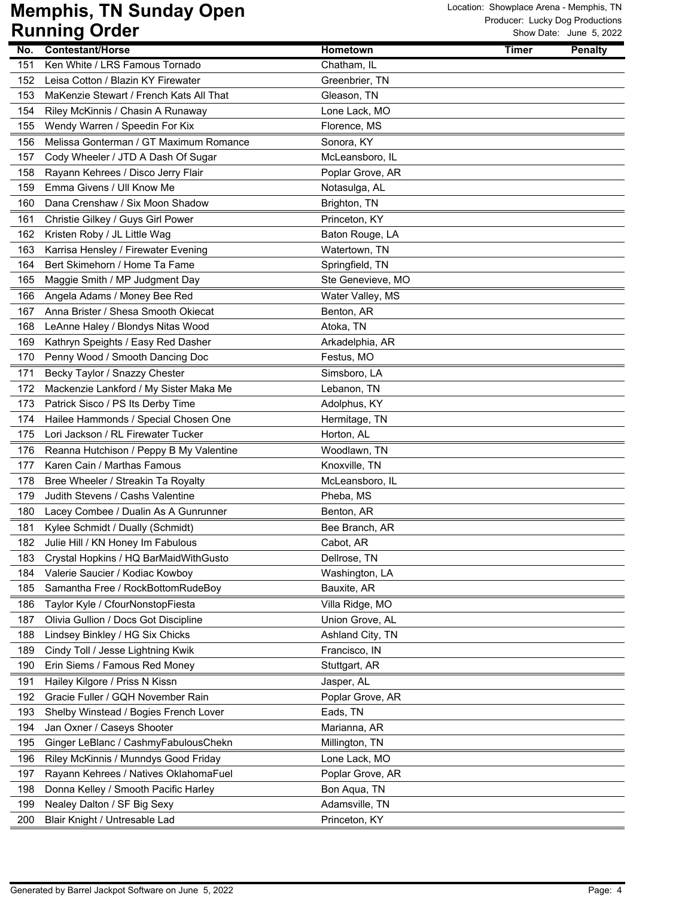| No. | <b>Contestant/Horse</b>                 | <b>Hometown</b>   | <b>Timer</b> | <b>Penalty</b> |
|-----|-----------------------------------------|-------------------|--------------|----------------|
| 151 | Ken White / LRS Famous Tornado          | Chatham, IL       |              |                |
| 152 | Leisa Cotton / Blazin KY Firewater      | Greenbrier, TN    |              |                |
| 153 | MaKenzie Stewart / French Kats All That | Gleason, TN       |              |                |
| 154 | Riley McKinnis / Chasin A Runaway       | Lone Lack, MO     |              |                |
| 155 | Wendy Warren / Speedin For Kix          | Florence, MS      |              |                |
| 156 | Melissa Gonterman / GT Maximum Romance  | Sonora, KY        |              |                |
| 157 | Cody Wheeler / JTD A Dash Of Sugar      | McLeansboro, IL   |              |                |
| 158 | Rayann Kehrees / Disco Jerry Flair      | Poplar Grove, AR  |              |                |
| 159 | Emma Givens / Ull Know Me               | Notasulga, AL     |              |                |
| 160 | Dana Crenshaw / Six Moon Shadow         | Brighton, TN      |              |                |
| 161 | Christie Gilkey / Guys Girl Power       | Princeton, KY     |              |                |
| 162 | Kristen Roby / JL Little Wag            | Baton Rouge, LA   |              |                |
| 163 | Karrisa Hensley / Firewater Evening     | Watertown, TN     |              |                |
| 164 | Bert Skimehorn / Home Ta Fame           | Springfield, TN   |              |                |
| 165 | Maggie Smith / MP Judgment Day          | Ste Genevieve, MO |              |                |
| 166 | Angela Adams / Money Bee Red            | Water Valley, MS  |              |                |
| 167 | Anna Brister / Shesa Smooth Okiecat     | Benton, AR        |              |                |
| 168 | LeAnne Haley / Blondys Nitas Wood       | Atoka, TN         |              |                |
| 169 | Kathryn Speights / Easy Red Dasher      | Arkadelphia, AR   |              |                |
| 170 | Penny Wood / Smooth Dancing Doc         | Festus, MO        |              |                |
| 171 | Becky Taylor / Snazzy Chester           | Simsboro, LA      |              |                |
| 172 | Mackenzie Lankford / My Sister Maka Me  | Lebanon, TN       |              |                |
| 173 | Patrick Sisco / PS Its Derby Time       | Adolphus, KY      |              |                |
| 174 | Hailee Hammonds / Special Chosen One    | Hermitage, TN     |              |                |
| 175 | Lori Jackson / RL Firewater Tucker      | Horton, AL        |              |                |
| 176 | Reanna Hutchison / Peppy B My Valentine | Woodlawn, TN      |              |                |
| 177 | Karen Cain / Marthas Famous             | Knoxville, TN     |              |                |
| 178 | Bree Wheeler / Streakin Ta Royalty      | McLeansboro, IL   |              |                |
| 179 | Judith Stevens / Cashs Valentine        | Pheba, MS         |              |                |
| 180 | Lacey Combee / Dualin As A Gunrunner    | Benton, AR        |              |                |
| 181 | Kylee Schmidt / Dually (Schmidt)        | Bee Branch, AR    |              |                |
| 182 | Julie Hill / KN Honey Im Fabulous       | Cabot, AR         |              |                |
| 183 | Crystal Hopkins / HQ BarMaidWithGusto   | Dellrose, TN      |              |                |
| 184 | Valerie Saucier / Kodiac Kowboy         | Washington, LA    |              |                |
| 185 | Samantha Free / RockBottomRudeBoy       | Bauxite, AR       |              |                |
| 186 | Taylor Kyle / CfourNonstopFiesta        | Villa Ridge, MO   |              |                |
| 187 | Olivia Gullion / Docs Got Discipline    | Union Grove, AL   |              |                |
| 188 | Lindsey Binkley / HG Six Chicks         | Ashland City, TN  |              |                |
| 189 | Cindy Toll / Jesse Lightning Kwik       | Francisco, IN     |              |                |
| 190 | Erin Siems / Famous Red Money           | Stuttgart, AR     |              |                |
| 191 | Hailey Kilgore / Priss N Kissn          | Jasper, AL        |              |                |
| 192 | Gracie Fuller / GQH November Rain       | Poplar Grove, AR  |              |                |
| 193 | Shelby Winstead / Bogies French Lover   | Eads, TN          |              |                |
| 194 | Jan Oxner / Caseys Shooter              | Marianna, AR      |              |                |
| 195 | Ginger LeBlanc / CashmyFabulousChekn    | Millington, TN    |              |                |
| 196 | Riley McKinnis / Munndys Good Friday    | Lone Lack, MO     |              |                |
| 197 | Rayann Kehrees / Natives OklahomaFuel   | Poplar Grove, AR  |              |                |
| 198 | Donna Kelley / Smooth Pacific Harley    | Bon Aqua, TN      |              |                |
| 199 | Nealey Dalton / SF Big Sexy             | Adamsville, TN    |              |                |
| 200 | Blair Knight / Untresable Lad           | Princeton, KY     |              |                |
|     |                                         |                   |              |                |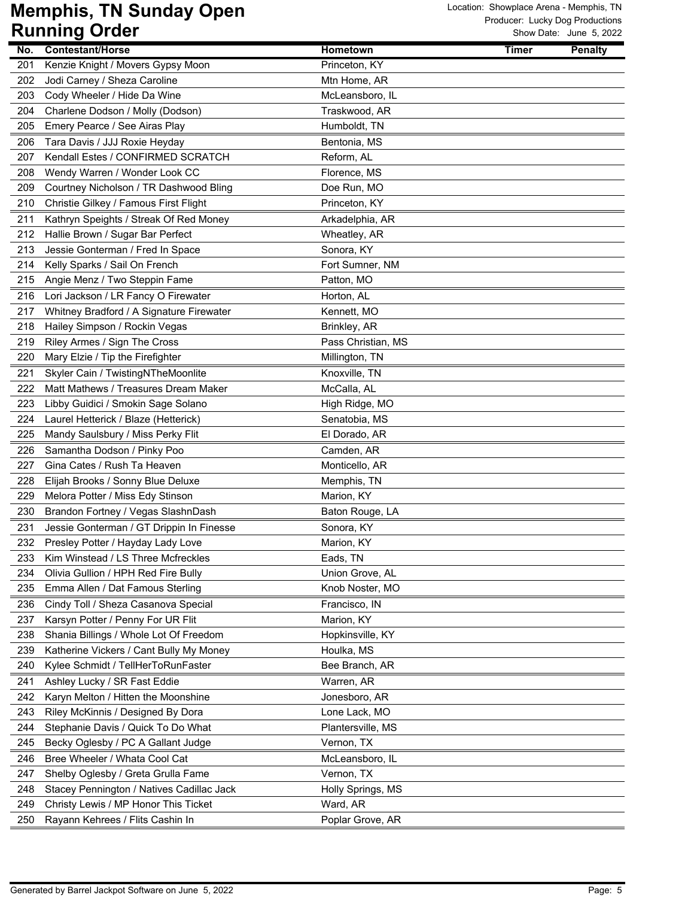| <b>Contestant/Horse</b><br><b>Hometown</b><br><b>Penalty</b><br>No.<br>Timer<br>201<br>Kenzie Knight / Movers Gypsy Moon<br>Princeton, KY<br>Jodi Carney / Sheza Caroline<br>202<br>Mtn Home, AR<br>203<br>Cody Wheeler / Hide Da Wine<br>McLeansboro, IL<br>204<br>Charlene Dodson / Molly (Dodson)<br>Traskwood, AR<br>205<br>Emery Pearce / See Airas Play<br>Humboldt, TN<br>206<br>Tara Davis / JJJ Roxie Heyday<br>Bentonia, MS<br>Kendall Estes / CONFIRMED SCRATCH<br>Reform, AL<br>207<br>208<br>Wendy Warren / Wonder Look CC<br>Florence, MS<br>209<br>Courtney Nicholson / TR Dashwood Bling<br>Doe Run, MO<br>210<br>Christie Gilkey / Famous First Flight<br>Princeton, KY<br>211<br>Kathryn Speights / Streak Of Red Money<br>Arkadelphia, AR<br>212<br>Hallie Brown / Sugar Bar Perfect<br>Wheatley, AR<br>Sonora, KY<br>213<br>Jessie Gonterman / Fred In Space<br>Kelly Sparks / Sail On French<br>Fort Sumner, NM<br>214<br>Angie Menz / Two Steppin Fame<br>215<br>Patton, MO<br>216<br>Lori Jackson / LR Fancy O Firewater<br>Horton, AL<br>Whitney Bradford / A Signature Firewater<br>217<br>Kennett, MO<br>218<br>Hailey Simpson / Rockin Vegas<br>Brinkley, AR<br>219<br>Riley Armes / Sign The Cross<br>Pass Christian, MS<br>220<br>Mary Elzie / Tip the Firefighter<br>Millington, TN<br>Skyler Cain / TwistingNTheMoonlite<br>221<br>Knoxville, TN<br>Matt Mathews / Treasures Dream Maker<br>McCalla, AL<br>222<br>223<br>Libby Guidici / Smokin Sage Solano<br>High Ridge, MO<br>224<br>Senatobia, MS<br>Laurel Hetterick / Blaze (Hetterick)<br>El Dorado, AR<br>225<br>Mandy Saulsbury / Miss Perky Flit<br>Samantha Dodson / Pinky Poo<br>Camden, AR<br>226<br>227<br>Gina Cates / Rush Ta Heaven<br>Monticello, AR<br>228<br>Elijah Brooks / Sonny Blue Deluxe<br>Memphis, TN<br>Melora Potter / Miss Edy Stinson<br>229<br>Marion, KY<br>Brandon Fortney / Vegas SlashnDash<br>230<br>Baton Rouge, LA<br>231<br>Jessie Gonterman / GT Drippin In Finesse<br>Sonora, KY<br>232<br>Presley Potter / Hayday Lady Love<br>Marion, KY<br>Kim Winstead / LS Three Mcfreckles<br>233<br>Eads, TN<br>Olivia Gullion / HPH Red Fire Bully<br>234<br>Union Grove, AL<br>235<br>Emma Allen / Dat Famous Sterling<br>Knob Noster, MO<br>236<br>Cindy Toll / Sheza Casanova Special<br>Francisco, IN<br>Karsyn Potter / Penny For UR Flit<br>Marion, KY<br>237<br>238<br>Shania Billings / Whole Lot Of Freedom<br>Hopkinsville, KY<br>Katherine Vickers / Cant Bully My Money<br>239<br>Houlka, MS<br>240<br>Bee Branch, AR<br>Kylee Schmidt / TellHerToRunFaster<br>Ashley Lucky / SR Fast Eddie<br>241<br>Warren, AR<br>242<br>Karyn Melton / Hitten the Moonshine<br>Jonesboro, AR<br>Lone Lack, MO<br>243<br>Riley McKinnis / Designed By Dora<br>244<br>Stephanie Davis / Quick To Do What<br>Plantersville, MS<br>245<br>Becky Oglesby / PC A Gallant Judge<br>Vernon, TX<br>Bree Wheeler / Whata Cool Cat<br>246<br>McLeansboro, IL<br>247<br>Shelby Oglesby / Greta Grulla Fame<br>Vernon, TX<br>Stacey Pennington / Natives Cadillac Jack<br>Holly Springs, MS<br>248<br>Christy Lewis / MP Honor This Ticket<br>Ward, AR<br>249 |     | ישטיש שיייייייש                  |                  | SHOW Date: Sanc 9, ZUZZ |
|-------------------------------------------------------------------------------------------------------------------------------------------------------------------------------------------------------------------------------------------------------------------------------------------------------------------------------------------------------------------------------------------------------------------------------------------------------------------------------------------------------------------------------------------------------------------------------------------------------------------------------------------------------------------------------------------------------------------------------------------------------------------------------------------------------------------------------------------------------------------------------------------------------------------------------------------------------------------------------------------------------------------------------------------------------------------------------------------------------------------------------------------------------------------------------------------------------------------------------------------------------------------------------------------------------------------------------------------------------------------------------------------------------------------------------------------------------------------------------------------------------------------------------------------------------------------------------------------------------------------------------------------------------------------------------------------------------------------------------------------------------------------------------------------------------------------------------------------------------------------------------------------------------------------------------------------------------------------------------------------------------------------------------------------------------------------------------------------------------------------------------------------------------------------------------------------------------------------------------------------------------------------------------------------------------------------------------------------------------------------------------------------------------------------------------------------------------------------------------------------------------------------------------------------------------------------------------------------------------------------------------------------------------------------------------------------------------------------------------------------------------------------------------------------------------------------------------------------------------------------------------------------------------------------------------------------------------------------------------------------------------------------------------------------------------------------------------------------------------------------------------------------------------------------|-----|----------------------------------|------------------|-------------------------|
|                                                                                                                                                                                                                                                                                                                                                                                                                                                                                                                                                                                                                                                                                                                                                                                                                                                                                                                                                                                                                                                                                                                                                                                                                                                                                                                                                                                                                                                                                                                                                                                                                                                                                                                                                                                                                                                                                                                                                                                                                                                                                                                                                                                                                                                                                                                                                                                                                                                                                                                                                                                                                                                                                                                                                                                                                                                                                                                                                                                                                                                                                                                                                                   |     |                                  |                  |                         |
|                                                                                                                                                                                                                                                                                                                                                                                                                                                                                                                                                                                                                                                                                                                                                                                                                                                                                                                                                                                                                                                                                                                                                                                                                                                                                                                                                                                                                                                                                                                                                                                                                                                                                                                                                                                                                                                                                                                                                                                                                                                                                                                                                                                                                                                                                                                                                                                                                                                                                                                                                                                                                                                                                                                                                                                                                                                                                                                                                                                                                                                                                                                                                                   |     |                                  |                  |                         |
|                                                                                                                                                                                                                                                                                                                                                                                                                                                                                                                                                                                                                                                                                                                                                                                                                                                                                                                                                                                                                                                                                                                                                                                                                                                                                                                                                                                                                                                                                                                                                                                                                                                                                                                                                                                                                                                                                                                                                                                                                                                                                                                                                                                                                                                                                                                                                                                                                                                                                                                                                                                                                                                                                                                                                                                                                                                                                                                                                                                                                                                                                                                                                                   |     |                                  |                  |                         |
|                                                                                                                                                                                                                                                                                                                                                                                                                                                                                                                                                                                                                                                                                                                                                                                                                                                                                                                                                                                                                                                                                                                                                                                                                                                                                                                                                                                                                                                                                                                                                                                                                                                                                                                                                                                                                                                                                                                                                                                                                                                                                                                                                                                                                                                                                                                                                                                                                                                                                                                                                                                                                                                                                                                                                                                                                                                                                                                                                                                                                                                                                                                                                                   |     |                                  |                  |                         |
|                                                                                                                                                                                                                                                                                                                                                                                                                                                                                                                                                                                                                                                                                                                                                                                                                                                                                                                                                                                                                                                                                                                                                                                                                                                                                                                                                                                                                                                                                                                                                                                                                                                                                                                                                                                                                                                                                                                                                                                                                                                                                                                                                                                                                                                                                                                                                                                                                                                                                                                                                                                                                                                                                                                                                                                                                                                                                                                                                                                                                                                                                                                                                                   |     |                                  |                  |                         |
|                                                                                                                                                                                                                                                                                                                                                                                                                                                                                                                                                                                                                                                                                                                                                                                                                                                                                                                                                                                                                                                                                                                                                                                                                                                                                                                                                                                                                                                                                                                                                                                                                                                                                                                                                                                                                                                                                                                                                                                                                                                                                                                                                                                                                                                                                                                                                                                                                                                                                                                                                                                                                                                                                                                                                                                                                                                                                                                                                                                                                                                                                                                                                                   |     |                                  |                  |                         |
|                                                                                                                                                                                                                                                                                                                                                                                                                                                                                                                                                                                                                                                                                                                                                                                                                                                                                                                                                                                                                                                                                                                                                                                                                                                                                                                                                                                                                                                                                                                                                                                                                                                                                                                                                                                                                                                                                                                                                                                                                                                                                                                                                                                                                                                                                                                                                                                                                                                                                                                                                                                                                                                                                                                                                                                                                                                                                                                                                                                                                                                                                                                                                                   |     |                                  |                  |                         |
|                                                                                                                                                                                                                                                                                                                                                                                                                                                                                                                                                                                                                                                                                                                                                                                                                                                                                                                                                                                                                                                                                                                                                                                                                                                                                                                                                                                                                                                                                                                                                                                                                                                                                                                                                                                                                                                                                                                                                                                                                                                                                                                                                                                                                                                                                                                                                                                                                                                                                                                                                                                                                                                                                                                                                                                                                                                                                                                                                                                                                                                                                                                                                                   |     |                                  |                  |                         |
|                                                                                                                                                                                                                                                                                                                                                                                                                                                                                                                                                                                                                                                                                                                                                                                                                                                                                                                                                                                                                                                                                                                                                                                                                                                                                                                                                                                                                                                                                                                                                                                                                                                                                                                                                                                                                                                                                                                                                                                                                                                                                                                                                                                                                                                                                                                                                                                                                                                                                                                                                                                                                                                                                                                                                                                                                                                                                                                                                                                                                                                                                                                                                                   |     |                                  |                  |                         |
|                                                                                                                                                                                                                                                                                                                                                                                                                                                                                                                                                                                                                                                                                                                                                                                                                                                                                                                                                                                                                                                                                                                                                                                                                                                                                                                                                                                                                                                                                                                                                                                                                                                                                                                                                                                                                                                                                                                                                                                                                                                                                                                                                                                                                                                                                                                                                                                                                                                                                                                                                                                                                                                                                                                                                                                                                                                                                                                                                                                                                                                                                                                                                                   |     |                                  |                  |                         |
|                                                                                                                                                                                                                                                                                                                                                                                                                                                                                                                                                                                                                                                                                                                                                                                                                                                                                                                                                                                                                                                                                                                                                                                                                                                                                                                                                                                                                                                                                                                                                                                                                                                                                                                                                                                                                                                                                                                                                                                                                                                                                                                                                                                                                                                                                                                                                                                                                                                                                                                                                                                                                                                                                                                                                                                                                                                                                                                                                                                                                                                                                                                                                                   |     |                                  |                  |                         |
|                                                                                                                                                                                                                                                                                                                                                                                                                                                                                                                                                                                                                                                                                                                                                                                                                                                                                                                                                                                                                                                                                                                                                                                                                                                                                                                                                                                                                                                                                                                                                                                                                                                                                                                                                                                                                                                                                                                                                                                                                                                                                                                                                                                                                                                                                                                                                                                                                                                                                                                                                                                                                                                                                                                                                                                                                                                                                                                                                                                                                                                                                                                                                                   |     |                                  |                  |                         |
|                                                                                                                                                                                                                                                                                                                                                                                                                                                                                                                                                                                                                                                                                                                                                                                                                                                                                                                                                                                                                                                                                                                                                                                                                                                                                                                                                                                                                                                                                                                                                                                                                                                                                                                                                                                                                                                                                                                                                                                                                                                                                                                                                                                                                                                                                                                                                                                                                                                                                                                                                                                                                                                                                                                                                                                                                                                                                                                                                                                                                                                                                                                                                                   |     |                                  |                  |                         |
|                                                                                                                                                                                                                                                                                                                                                                                                                                                                                                                                                                                                                                                                                                                                                                                                                                                                                                                                                                                                                                                                                                                                                                                                                                                                                                                                                                                                                                                                                                                                                                                                                                                                                                                                                                                                                                                                                                                                                                                                                                                                                                                                                                                                                                                                                                                                                                                                                                                                                                                                                                                                                                                                                                                                                                                                                                                                                                                                                                                                                                                                                                                                                                   |     |                                  |                  |                         |
|                                                                                                                                                                                                                                                                                                                                                                                                                                                                                                                                                                                                                                                                                                                                                                                                                                                                                                                                                                                                                                                                                                                                                                                                                                                                                                                                                                                                                                                                                                                                                                                                                                                                                                                                                                                                                                                                                                                                                                                                                                                                                                                                                                                                                                                                                                                                                                                                                                                                                                                                                                                                                                                                                                                                                                                                                                                                                                                                                                                                                                                                                                                                                                   |     |                                  |                  |                         |
|                                                                                                                                                                                                                                                                                                                                                                                                                                                                                                                                                                                                                                                                                                                                                                                                                                                                                                                                                                                                                                                                                                                                                                                                                                                                                                                                                                                                                                                                                                                                                                                                                                                                                                                                                                                                                                                                                                                                                                                                                                                                                                                                                                                                                                                                                                                                                                                                                                                                                                                                                                                                                                                                                                                                                                                                                                                                                                                                                                                                                                                                                                                                                                   |     |                                  |                  |                         |
|                                                                                                                                                                                                                                                                                                                                                                                                                                                                                                                                                                                                                                                                                                                                                                                                                                                                                                                                                                                                                                                                                                                                                                                                                                                                                                                                                                                                                                                                                                                                                                                                                                                                                                                                                                                                                                                                                                                                                                                                                                                                                                                                                                                                                                                                                                                                                                                                                                                                                                                                                                                                                                                                                                                                                                                                                                                                                                                                                                                                                                                                                                                                                                   |     |                                  |                  |                         |
|                                                                                                                                                                                                                                                                                                                                                                                                                                                                                                                                                                                                                                                                                                                                                                                                                                                                                                                                                                                                                                                                                                                                                                                                                                                                                                                                                                                                                                                                                                                                                                                                                                                                                                                                                                                                                                                                                                                                                                                                                                                                                                                                                                                                                                                                                                                                                                                                                                                                                                                                                                                                                                                                                                                                                                                                                                                                                                                                                                                                                                                                                                                                                                   |     |                                  |                  |                         |
|                                                                                                                                                                                                                                                                                                                                                                                                                                                                                                                                                                                                                                                                                                                                                                                                                                                                                                                                                                                                                                                                                                                                                                                                                                                                                                                                                                                                                                                                                                                                                                                                                                                                                                                                                                                                                                                                                                                                                                                                                                                                                                                                                                                                                                                                                                                                                                                                                                                                                                                                                                                                                                                                                                                                                                                                                                                                                                                                                                                                                                                                                                                                                                   |     |                                  |                  |                         |
|                                                                                                                                                                                                                                                                                                                                                                                                                                                                                                                                                                                                                                                                                                                                                                                                                                                                                                                                                                                                                                                                                                                                                                                                                                                                                                                                                                                                                                                                                                                                                                                                                                                                                                                                                                                                                                                                                                                                                                                                                                                                                                                                                                                                                                                                                                                                                                                                                                                                                                                                                                                                                                                                                                                                                                                                                                                                                                                                                                                                                                                                                                                                                                   |     |                                  |                  |                         |
|                                                                                                                                                                                                                                                                                                                                                                                                                                                                                                                                                                                                                                                                                                                                                                                                                                                                                                                                                                                                                                                                                                                                                                                                                                                                                                                                                                                                                                                                                                                                                                                                                                                                                                                                                                                                                                                                                                                                                                                                                                                                                                                                                                                                                                                                                                                                                                                                                                                                                                                                                                                                                                                                                                                                                                                                                                                                                                                                                                                                                                                                                                                                                                   |     |                                  |                  |                         |
|                                                                                                                                                                                                                                                                                                                                                                                                                                                                                                                                                                                                                                                                                                                                                                                                                                                                                                                                                                                                                                                                                                                                                                                                                                                                                                                                                                                                                                                                                                                                                                                                                                                                                                                                                                                                                                                                                                                                                                                                                                                                                                                                                                                                                                                                                                                                                                                                                                                                                                                                                                                                                                                                                                                                                                                                                                                                                                                                                                                                                                                                                                                                                                   |     |                                  |                  |                         |
|                                                                                                                                                                                                                                                                                                                                                                                                                                                                                                                                                                                                                                                                                                                                                                                                                                                                                                                                                                                                                                                                                                                                                                                                                                                                                                                                                                                                                                                                                                                                                                                                                                                                                                                                                                                                                                                                                                                                                                                                                                                                                                                                                                                                                                                                                                                                                                                                                                                                                                                                                                                                                                                                                                                                                                                                                                                                                                                                                                                                                                                                                                                                                                   |     |                                  |                  |                         |
|                                                                                                                                                                                                                                                                                                                                                                                                                                                                                                                                                                                                                                                                                                                                                                                                                                                                                                                                                                                                                                                                                                                                                                                                                                                                                                                                                                                                                                                                                                                                                                                                                                                                                                                                                                                                                                                                                                                                                                                                                                                                                                                                                                                                                                                                                                                                                                                                                                                                                                                                                                                                                                                                                                                                                                                                                                                                                                                                                                                                                                                                                                                                                                   |     |                                  |                  |                         |
|                                                                                                                                                                                                                                                                                                                                                                                                                                                                                                                                                                                                                                                                                                                                                                                                                                                                                                                                                                                                                                                                                                                                                                                                                                                                                                                                                                                                                                                                                                                                                                                                                                                                                                                                                                                                                                                                                                                                                                                                                                                                                                                                                                                                                                                                                                                                                                                                                                                                                                                                                                                                                                                                                                                                                                                                                                                                                                                                                                                                                                                                                                                                                                   |     |                                  |                  |                         |
|                                                                                                                                                                                                                                                                                                                                                                                                                                                                                                                                                                                                                                                                                                                                                                                                                                                                                                                                                                                                                                                                                                                                                                                                                                                                                                                                                                                                                                                                                                                                                                                                                                                                                                                                                                                                                                                                                                                                                                                                                                                                                                                                                                                                                                                                                                                                                                                                                                                                                                                                                                                                                                                                                                                                                                                                                                                                                                                                                                                                                                                                                                                                                                   |     |                                  |                  |                         |
|                                                                                                                                                                                                                                                                                                                                                                                                                                                                                                                                                                                                                                                                                                                                                                                                                                                                                                                                                                                                                                                                                                                                                                                                                                                                                                                                                                                                                                                                                                                                                                                                                                                                                                                                                                                                                                                                                                                                                                                                                                                                                                                                                                                                                                                                                                                                                                                                                                                                                                                                                                                                                                                                                                                                                                                                                                                                                                                                                                                                                                                                                                                                                                   |     |                                  |                  |                         |
|                                                                                                                                                                                                                                                                                                                                                                                                                                                                                                                                                                                                                                                                                                                                                                                                                                                                                                                                                                                                                                                                                                                                                                                                                                                                                                                                                                                                                                                                                                                                                                                                                                                                                                                                                                                                                                                                                                                                                                                                                                                                                                                                                                                                                                                                                                                                                                                                                                                                                                                                                                                                                                                                                                                                                                                                                                                                                                                                                                                                                                                                                                                                                                   |     |                                  |                  |                         |
|                                                                                                                                                                                                                                                                                                                                                                                                                                                                                                                                                                                                                                                                                                                                                                                                                                                                                                                                                                                                                                                                                                                                                                                                                                                                                                                                                                                                                                                                                                                                                                                                                                                                                                                                                                                                                                                                                                                                                                                                                                                                                                                                                                                                                                                                                                                                                                                                                                                                                                                                                                                                                                                                                                                                                                                                                                                                                                                                                                                                                                                                                                                                                                   |     |                                  |                  |                         |
|                                                                                                                                                                                                                                                                                                                                                                                                                                                                                                                                                                                                                                                                                                                                                                                                                                                                                                                                                                                                                                                                                                                                                                                                                                                                                                                                                                                                                                                                                                                                                                                                                                                                                                                                                                                                                                                                                                                                                                                                                                                                                                                                                                                                                                                                                                                                                                                                                                                                                                                                                                                                                                                                                                                                                                                                                                                                                                                                                                                                                                                                                                                                                                   |     |                                  |                  |                         |
|                                                                                                                                                                                                                                                                                                                                                                                                                                                                                                                                                                                                                                                                                                                                                                                                                                                                                                                                                                                                                                                                                                                                                                                                                                                                                                                                                                                                                                                                                                                                                                                                                                                                                                                                                                                                                                                                                                                                                                                                                                                                                                                                                                                                                                                                                                                                                                                                                                                                                                                                                                                                                                                                                                                                                                                                                                                                                                                                                                                                                                                                                                                                                                   |     |                                  |                  |                         |
|                                                                                                                                                                                                                                                                                                                                                                                                                                                                                                                                                                                                                                                                                                                                                                                                                                                                                                                                                                                                                                                                                                                                                                                                                                                                                                                                                                                                                                                                                                                                                                                                                                                                                                                                                                                                                                                                                                                                                                                                                                                                                                                                                                                                                                                                                                                                                                                                                                                                                                                                                                                                                                                                                                                                                                                                                                                                                                                                                                                                                                                                                                                                                                   |     |                                  |                  |                         |
|                                                                                                                                                                                                                                                                                                                                                                                                                                                                                                                                                                                                                                                                                                                                                                                                                                                                                                                                                                                                                                                                                                                                                                                                                                                                                                                                                                                                                                                                                                                                                                                                                                                                                                                                                                                                                                                                                                                                                                                                                                                                                                                                                                                                                                                                                                                                                                                                                                                                                                                                                                                                                                                                                                                                                                                                                                                                                                                                                                                                                                                                                                                                                                   |     |                                  |                  |                         |
|                                                                                                                                                                                                                                                                                                                                                                                                                                                                                                                                                                                                                                                                                                                                                                                                                                                                                                                                                                                                                                                                                                                                                                                                                                                                                                                                                                                                                                                                                                                                                                                                                                                                                                                                                                                                                                                                                                                                                                                                                                                                                                                                                                                                                                                                                                                                                                                                                                                                                                                                                                                                                                                                                                                                                                                                                                                                                                                                                                                                                                                                                                                                                                   |     |                                  |                  |                         |
|                                                                                                                                                                                                                                                                                                                                                                                                                                                                                                                                                                                                                                                                                                                                                                                                                                                                                                                                                                                                                                                                                                                                                                                                                                                                                                                                                                                                                                                                                                                                                                                                                                                                                                                                                                                                                                                                                                                                                                                                                                                                                                                                                                                                                                                                                                                                                                                                                                                                                                                                                                                                                                                                                                                                                                                                                                                                                                                                                                                                                                                                                                                                                                   |     |                                  |                  |                         |
|                                                                                                                                                                                                                                                                                                                                                                                                                                                                                                                                                                                                                                                                                                                                                                                                                                                                                                                                                                                                                                                                                                                                                                                                                                                                                                                                                                                                                                                                                                                                                                                                                                                                                                                                                                                                                                                                                                                                                                                                                                                                                                                                                                                                                                                                                                                                                                                                                                                                                                                                                                                                                                                                                                                                                                                                                                                                                                                                                                                                                                                                                                                                                                   |     |                                  |                  |                         |
|                                                                                                                                                                                                                                                                                                                                                                                                                                                                                                                                                                                                                                                                                                                                                                                                                                                                                                                                                                                                                                                                                                                                                                                                                                                                                                                                                                                                                                                                                                                                                                                                                                                                                                                                                                                                                                                                                                                                                                                                                                                                                                                                                                                                                                                                                                                                                                                                                                                                                                                                                                                                                                                                                                                                                                                                                                                                                                                                                                                                                                                                                                                                                                   |     |                                  |                  |                         |
|                                                                                                                                                                                                                                                                                                                                                                                                                                                                                                                                                                                                                                                                                                                                                                                                                                                                                                                                                                                                                                                                                                                                                                                                                                                                                                                                                                                                                                                                                                                                                                                                                                                                                                                                                                                                                                                                                                                                                                                                                                                                                                                                                                                                                                                                                                                                                                                                                                                                                                                                                                                                                                                                                                                                                                                                                                                                                                                                                                                                                                                                                                                                                                   |     |                                  |                  |                         |
|                                                                                                                                                                                                                                                                                                                                                                                                                                                                                                                                                                                                                                                                                                                                                                                                                                                                                                                                                                                                                                                                                                                                                                                                                                                                                                                                                                                                                                                                                                                                                                                                                                                                                                                                                                                                                                                                                                                                                                                                                                                                                                                                                                                                                                                                                                                                                                                                                                                                                                                                                                                                                                                                                                                                                                                                                                                                                                                                                                                                                                                                                                                                                                   |     |                                  |                  |                         |
|                                                                                                                                                                                                                                                                                                                                                                                                                                                                                                                                                                                                                                                                                                                                                                                                                                                                                                                                                                                                                                                                                                                                                                                                                                                                                                                                                                                                                                                                                                                                                                                                                                                                                                                                                                                                                                                                                                                                                                                                                                                                                                                                                                                                                                                                                                                                                                                                                                                                                                                                                                                                                                                                                                                                                                                                                                                                                                                                                                                                                                                                                                                                                                   |     |                                  |                  |                         |
|                                                                                                                                                                                                                                                                                                                                                                                                                                                                                                                                                                                                                                                                                                                                                                                                                                                                                                                                                                                                                                                                                                                                                                                                                                                                                                                                                                                                                                                                                                                                                                                                                                                                                                                                                                                                                                                                                                                                                                                                                                                                                                                                                                                                                                                                                                                                                                                                                                                                                                                                                                                                                                                                                                                                                                                                                                                                                                                                                                                                                                                                                                                                                                   |     |                                  |                  |                         |
|                                                                                                                                                                                                                                                                                                                                                                                                                                                                                                                                                                                                                                                                                                                                                                                                                                                                                                                                                                                                                                                                                                                                                                                                                                                                                                                                                                                                                                                                                                                                                                                                                                                                                                                                                                                                                                                                                                                                                                                                                                                                                                                                                                                                                                                                                                                                                                                                                                                                                                                                                                                                                                                                                                                                                                                                                                                                                                                                                                                                                                                                                                                                                                   |     |                                  |                  |                         |
|                                                                                                                                                                                                                                                                                                                                                                                                                                                                                                                                                                                                                                                                                                                                                                                                                                                                                                                                                                                                                                                                                                                                                                                                                                                                                                                                                                                                                                                                                                                                                                                                                                                                                                                                                                                                                                                                                                                                                                                                                                                                                                                                                                                                                                                                                                                                                                                                                                                                                                                                                                                                                                                                                                                                                                                                                                                                                                                                                                                                                                                                                                                                                                   |     |                                  |                  |                         |
|                                                                                                                                                                                                                                                                                                                                                                                                                                                                                                                                                                                                                                                                                                                                                                                                                                                                                                                                                                                                                                                                                                                                                                                                                                                                                                                                                                                                                                                                                                                                                                                                                                                                                                                                                                                                                                                                                                                                                                                                                                                                                                                                                                                                                                                                                                                                                                                                                                                                                                                                                                                                                                                                                                                                                                                                                                                                                                                                                                                                                                                                                                                                                                   |     |                                  |                  |                         |
|                                                                                                                                                                                                                                                                                                                                                                                                                                                                                                                                                                                                                                                                                                                                                                                                                                                                                                                                                                                                                                                                                                                                                                                                                                                                                                                                                                                                                                                                                                                                                                                                                                                                                                                                                                                                                                                                                                                                                                                                                                                                                                                                                                                                                                                                                                                                                                                                                                                                                                                                                                                                                                                                                                                                                                                                                                                                                                                                                                                                                                                                                                                                                                   |     |                                  |                  |                         |
|                                                                                                                                                                                                                                                                                                                                                                                                                                                                                                                                                                                                                                                                                                                                                                                                                                                                                                                                                                                                                                                                                                                                                                                                                                                                                                                                                                                                                                                                                                                                                                                                                                                                                                                                                                                                                                                                                                                                                                                                                                                                                                                                                                                                                                                                                                                                                                                                                                                                                                                                                                                                                                                                                                                                                                                                                                                                                                                                                                                                                                                                                                                                                                   |     |                                  |                  |                         |
|                                                                                                                                                                                                                                                                                                                                                                                                                                                                                                                                                                                                                                                                                                                                                                                                                                                                                                                                                                                                                                                                                                                                                                                                                                                                                                                                                                                                                                                                                                                                                                                                                                                                                                                                                                                                                                                                                                                                                                                                                                                                                                                                                                                                                                                                                                                                                                                                                                                                                                                                                                                                                                                                                                                                                                                                                                                                                                                                                                                                                                                                                                                                                                   |     |                                  |                  |                         |
|                                                                                                                                                                                                                                                                                                                                                                                                                                                                                                                                                                                                                                                                                                                                                                                                                                                                                                                                                                                                                                                                                                                                                                                                                                                                                                                                                                                                                                                                                                                                                                                                                                                                                                                                                                                                                                                                                                                                                                                                                                                                                                                                                                                                                                                                                                                                                                                                                                                                                                                                                                                                                                                                                                                                                                                                                                                                                                                                                                                                                                                                                                                                                                   |     |                                  |                  |                         |
|                                                                                                                                                                                                                                                                                                                                                                                                                                                                                                                                                                                                                                                                                                                                                                                                                                                                                                                                                                                                                                                                                                                                                                                                                                                                                                                                                                                                                                                                                                                                                                                                                                                                                                                                                                                                                                                                                                                                                                                                                                                                                                                                                                                                                                                                                                                                                                                                                                                                                                                                                                                                                                                                                                                                                                                                                                                                                                                                                                                                                                                                                                                                                                   |     |                                  |                  |                         |
|                                                                                                                                                                                                                                                                                                                                                                                                                                                                                                                                                                                                                                                                                                                                                                                                                                                                                                                                                                                                                                                                                                                                                                                                                                                                                                                                                                                                                                                                                                                                                                                                                                                                                                                                                                                                                                                                                                                                                                                                                                                                                                                                                                                                                                                                                                                                                                                                                                                                                                                                                                                                                                                                                                                                                                                                                                                                                                                                                                                                                                                                                                                                                                   |     |                                  |                  |                         |
|                                                                                                                                                                                                                                                                                                                                                                                                                                                                                                                                                                                                                                                                                                                                                                                                                                                                                                                                                                                                                                                                                                                                                                                                                                                                                                                                                                                                                                                                                                                                                                                                                                                                                                                                                                                                                                                                                                                                                                                                                                                                                                                                                                                                                                                                                                                                                                                                                                                                                                                                                                                                                                                                                                                                                                                                                                                                                                                                                                                                                                                                                                                                                                   | 250 | Rayann Kehrees / Flits Cashin In | Poplar Grove, AR |                         |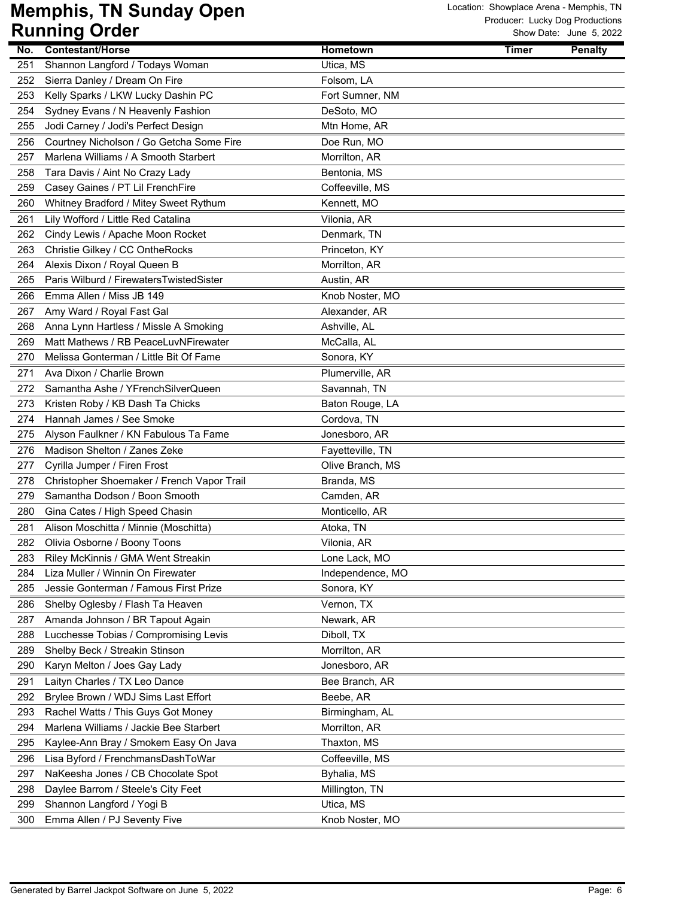|     | ישטיש שיייייייש                            |                  |              | OW DUIG. UUIK U, LULL |
|-----|--------------------------------------------|------------------|--------------|-----------------------|
| No. | <b>Contestant/Horse</b>                    | Hometown         | <b>Timer</b> | <b>Penalty</b>        |
| 251 | Shannon Langford / Todays Woman            | Utica, MS        |              |                       |
| 252 | Sierra Danley / Dream On Fire              | Folsom, LA       |              |                       |
| 253 | Kelly Sparks / LKW Lucky Dashin PC         | Fort Sumner, NM  |              |                       |
| 254 | Sydney Evans / N Heavenly Fashion          | DeSoto, MO       |              |                       |
| 255 | Jodi Carney / Jodi's Perfect Design        | Mtn Home, AR     |              |                       |
| 256 | Courtney Nicholson / Go Getcha Some Fire   | Doe Run, MO      |              |                       |
| 257 | Marlena Williams / A Smooth Starbert       | Morrilton, AR    |              |                       |
| 258 | Tara Davis / Aint No Crazy Lady            | Bentonia, MS     |              |                       |
| 259 | Casey Gaines / PT Lil FrenchFire           | Coffeeville, MS  |              |                       |
| 260 | Whitney Bradford / Mitey Sweet Rythum      | Kennett, MO      |              |                       |
| 261 | Lily Wofford / Little Red Catalina         | Vilonia, AR      |              |                       |
| 262 | Cindy Lewis / Apache Moon Rocket           | Denmark, TN      |              |                       |
| 263 | Christie Gilkey / CC OntheRocks            | Princeton, KY    |              |                       |
| 264 | Alexis Dixon / Royal Queen B               | Morrilton, AR    |              |                       |
| 265 | Paris Wilburd / FirewatersTwistedSister    | Austin, AR       |              |                       |
| 266 | Emma Allen / Miss JB 149                   | Knob Noster, MO  |              |                       |
| 267 | Amy Ward / Royal Fast Gal                  | Alexander, AR    |              |                       |
| 268 | Anna Lynn Hartless / Missle A Smoking      | Ashville, AL     |              |                       |
| 269 | Matt Mathews / RB PeaceLuvNFirewater       | McCalla, AL      |              |                       |
| 270 | Melissa Gonterman / Little Bit Of Fame     | Sonora, KY       |              |                       |
| 271 | Ava Dixon / Charlie Brown                  | Plumerville, AR  |              |                       |
| 272 | Samantha Ashe / YFrench Silver Queen       | Savannah, TN     |              |                       |
| 273 | Kristen Roby / KB Dash Ta Chicks           | Baton Rouge, LA  |              |                       |
| 274 | Hannah James / See Smoke                   | Cordova, TN      |              |                       |
| 275 | Alyson Faulkner / KN Fabulous Ta Fame      | Jonesboro, AR    |              |                       |
| 276 | Madison Shelton / Zanes Zeke               | Fayetteville, TN |              |                       |
| 277 | Cyrilla Jumper / Firen Frost               | Olive Branch, MS |              |                       |
| 278 | Christopher Shoemaker / French Vapor Trail | Branda, MS       |              |                       |
| 279 | Samantha Dodson / Boon Smooth              | Camden, AR       |              |                       |
| 280 | Gina Cates / High Speed Chasin             | Monticello, AR   |              |                       |
|     |                                            |                  |              |                       |
| 281 | Alison Moschitta / Minnie (Moschitta)      | Atoka, TN        |              |                       |
| 282 | Olivia Osborne / Boony Toons               | Vilonia, AR      |              |                       |
| 283 | Riley McKinnis / GMA Went Streakin         | Lone Lack, MO    |              |                       |
| 284 | Liza Muller / Winnin On Firewater          | Independence, MO |              |                       |
| 285 | Jessie Gonterman / Famous First Prize      | Sonora, KY       |              |                       |
| 286 | Shelby Oglesby / Flash Ta Heaven           | Vernon, TX       |              |                       |
| 287 | Amanda Johnson / BR Tapout Again           | Newark, AR       |              |                       |
| 288 | Lucchesse Tobias / Compromising Levis      | Diboll, TX       |              |                       |
| 289 | Shelby Beck / Streakin Stinson             | Morrilton, AR    |              |                       |
| 290 | Karyn Melton / Joes Gay Lady               | Jonesboro, AR    |              |                       |
| 291 | Laityn Charles / TX Leo Dance              | Bee Branch, AR   |              |                       |
| 292 | Brylee Brown / WDJ Sims Last Effort        | Beebe, AR        |              |                       |
| 293 | Rachel Watts / This Guys Got Money         | Birmingham, AL   |              |                       |
| 294 | Marlena Williams / Jackie Bee Starbert     | Morrilton, AR    |              |                       |
| 295 | Kaylee-Ann Bray / Smokem Easy On Java      | Thaxton, MS      |              |                       |
| 296 | Lisa Byford / FrenchmansDashToWar          | Coffeeville, MS  |              |                       |
| 297 | NaKeesha Jones / CB Chocolate Spot         | Byhalia, MS      |              |                       |
| 298 | Daylee Barrom / Steele's City Feet         | Millington, TN   |              |                       |
| 299 | Shannon Langford / Yogi B                  | Utica, MS        |              |                       |
| 300 | Emma Allen / PJ Seventy Five               | Knob Noster, MO  |              |                       |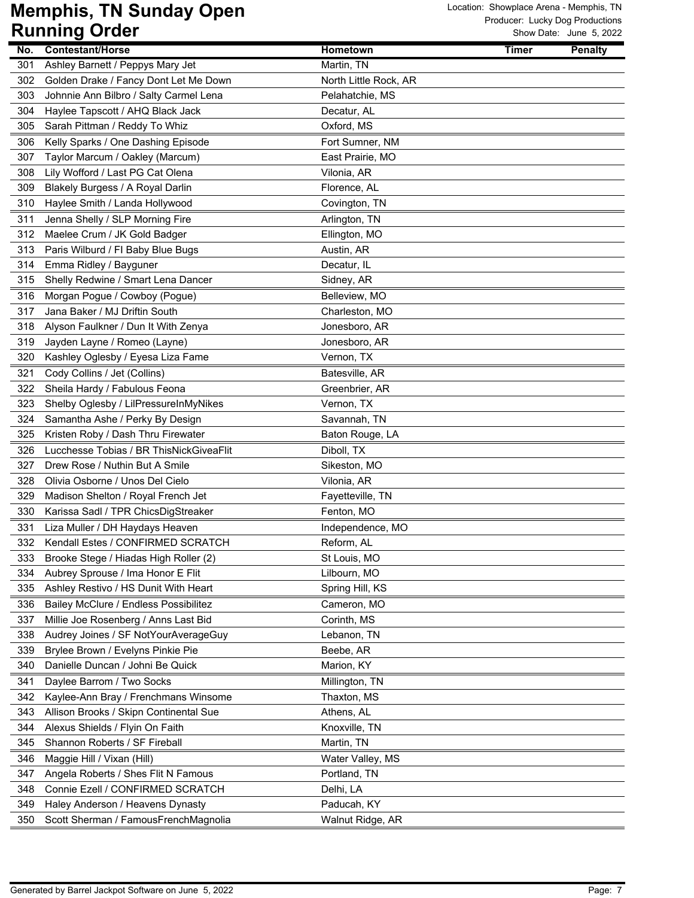|            | . 9<br>$\bullet$ . $\bullet$                                      |                       |       |                |
|------------|-------------------------------------------------------------------|-----------------------|-------|----------------|
| No.        | <b>Contestant/Horse</b>                                           | Hometown              | Timer | <b>Penalty</b> |
| 301        | Ashley Barnett / Peppys Mary Jet                                  | Martin, TN            |       |                |
| 302        | Golden Drake / Fancy Dont Let Me Down                             | North Little Rock, AR |       |                |
| 303        | Johnnie Ann Bilbro / Salty Carmel Lena                            | Pelahatchie, MS       |       |                |
| 304        | Haylee Tapscott / AHQ Black Jack                                  | Decatur, AL           |       |                |
| 305        | Sarah Pittman / Reddy To Whiz                                     | Oxford, MS            |       |                |
| 306        | Kelly Sparks / One Dashing Episode                                | Fort Sumner, NM       |       |                |
| 307        | Taylor Marcum / Oakley (Marcum)                                   | East Prairie, MO      |       |                |
| 308        | Lily Wofford / Last PG Cat Olena                                  | Vilonia, AR           |       |                |
| 309        | Blakely Burgess / A Royal Darlin                                  | Florence, AL          |       |                |
| 310        | Haylee Smith / Landa Hollywood                                    | Covington, TN         |       |                |
| 311        | Jenna Shelly / SLP Morning Fire                                   | Arlington, TN         |       |                |
| 312        | Maelee Crum / JK Gold Badger                                      | Ellington, MO         |       |                |
| 313        | Paris Wilburd / FI Baby Blue Bugs                                 | Austin, AR            |       |                |
| 314        | Emma Ridley / Bayguner                                            | Decatur, IL           |       |                |
| 315        | Shelly Redwine / Smart Lena Dancer                                | Sidney, AR            |       |                |
| 316        | Morgan Pogue / Cowboy (Pogue)                                     | Belleview, MO         |       |                |
| 317        | Jana Baker / MJ Driftin South                                     | Charleston, MO        |       |                |
| 318        | Alyson Faulkner / Dun It With Zenya                               | Jonesboro, AR         |       |                |
| 319        | Jayden Layne / Romeo (Layne)                                      | Jonesboro, AR         |       |                |
| 320        | Kashley Oglesby / Eyesa Liza Fame                                 | Vernon, TX            |       |                |
| 321        | Cody Collins / Jet (Collins)                                      | Batesville, AR        |       |                |
| 322        | Sheila Hardy / Fabulous Feona                                     | Greenbrier, AR        |       |                |
| 323        | Shelby Oglesby / LilPressureInMyNikes                             | Vernon, TX            |       |                |
| 324        | Samantha Ashe / Perky By Design                                   | Savannah, TN          |       |                |
| 325        | Kristen Roby / Dash Thru Firewater                                | Baton Rouge, LA       |       |                |
|            | Lucchesse Tobias / BR ThisNickGiveaFlit                           |                       |       |                |
| 326        |                                                                   | Diboll, TX            |       |                |
| 327<br>328 | Drew Rose / Nuthin But A Smile<br>Olivia Osborne / Unos Del Cielo | Sikeston, MO          |       |                |
|            |                                                                   | Vilonia, AR           |       |                |
| 329        | Madison Shelton / Royal French Jet                                | Fayetteville, TN      |       |                |
| 330        | Karissa Sadl / TPR ChicsDigStreaker                               | Fenton, MO            |       |                |
| 331        | Liza Muller / DH Haydays Heaven                                   | Independence, MO      |       |                |
| 332        | Kendall Estes / CONFIRMED SCRATCH                                 | Reform, AL            |       |                |
| 333        | Brooke Stege / Hiadas High Roller (2)                             | St Louis, MO          |       |                |
| 334        | Aubrey Sprouse / Ima Honor E Flit                                 | Lilbourn, MO          |       |                |
| 335        | Ashley Restivo / HS Dunit With Heart                              | Spring Hill, KS       |       |                |
| 336        | Bailey McClure / Endless Possibilitez                             | Cameron, MO           |       |                |
| 337        | Millie Joe Rosenberg / Anns Last Bid                              | Corinth, MS           |       |                |
| 338        | Audrey Joines / SF NotYourAverageGuy                              | Lebanon, TN           |       |                |
| 339        | Brylee Brown / Evelyns Pinkie Pie                                 | Beebe, AR             |       |                |
| 340        | Danielle Duncan / Johni Be Quick                                  | Marion, KY            |       |                |
| 341        | Daylee Barrom / Two Socks                                         | Millington, TN        |       |                |
| 342        | Kaylee-Ann Bray / Frenchmans Winsome                              | Thaxton, MS           |       |                |
| 343        | Allison Brooks / Skipn Continental Sue                            | Athens, AL            |       |                |
| 344        | Alexus Shields / Flyin On Faith                                   | Knoxville, TN         |       |                |
| 345        | Shannon Roberts / SF Fireball                                     | Martin, TN            |       |                |
| 346        | Maggie Hill / Vixan (Hill)                                        | Water Valley, MS      |       |                |
| 347        | Angela Roberts / Shes Flit N Famous                               | Portland, TN          |       |                |
| 348        | Connie Ezell / CONFIRMED SCRATCH                                  | Delhi, LA             |       |                |
| 349        | Haley Anderson / Heavens Dynasty                                  | Paducah, KY           |       |                |
| 350        | Scott Sherman / FamousFrenchMagnolia                              | Walnut Ridge, AR      |       |                |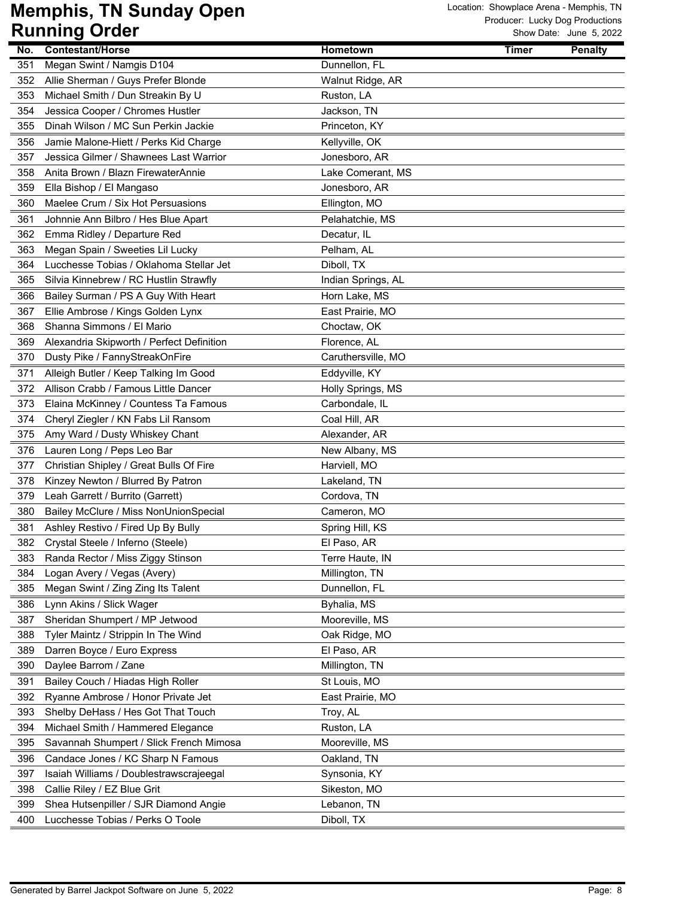|     | ישטיש שיייייייש                           |                    |              | OW DUIG. UUIK U, LULL |
|-----|-------------------------------------------|--------------------|--------------|-----------------------|
| No. | <b>Contestant/Horse</b>                   | Hometown           | <b>Timer</b> | <b>Penalty</b>        |
| 351 | Megan Swint / Namgis D104                 | Dunnellon, FL      |              |                       |
| 352 | Allie Sherman / Guys Prefer Blonde        | Walnut Ridge, AR   |              |                       |
| 353 | Michael Smith / Dun Streakin By U         | Ruston, LA         |              |                       |
| 354 | Jessica Cooper / Chromes Hustler          | Jackson, TN        |              |                       |
| 355 | Dinah Wilson / MC Sun Perkin Jackie       | Princeton, KY      |              |                       |
| 356 | Jamie Malone-Hiett / Perks Kid Charge     | Kellyville, OK     |              |                       |
| 357 | Jessica Gilmer / Shawnees Last Warrior    | Jonesboro, AR      |              |                       |
| 358 | Anita Brown / Blazn FirewaterAnnie        | Lake Comerant, MS  |              |                       |
| 359 | Ella Bishop / El Mangaso                  | Jonesboro, AR      |              |                       |
| 360 | Maelee Crum / Six Hot Persuasions         | Ellington, MO      |              |                       |
| 361 | Johnnie Ann Bilbro / Hes Blue Apart       | Pelahatchie, MS    |              |                       |
| 362 | Emma Ridley / Departure Red               | Decatur, IL        |              |                       |
| 363 | Megan Spain / Sweeties Lil Lucky          | Pelham, AL         |              |                       |
| 364 | Lucchesse Tobias / Oklahoma Stellar Jet   | Diboll, TX         |              |                       |
| 365 | Silvia Kinnebrew / RC Hustlin Strawfly    | Indian Springs, AL |              |                       |
| 366 | Bailey Surman / PS A Guy With Heart       | Horn Lake, MS      |              |                       |
| 367 | Ellie Ambrose / Kings Golden Lynx         | East Prairie, MO   |              |                       |
| 368 | Shanna Simmons / El Mario                 | Choctaw, OK        |              |                       |
| 369 | Alexandria Skipworth / Perfect Definition | Florence, AL       |              |                       |
| 370 | Dusty Pike / FannyStreakOnFire            | Caruthersville, MO |              |                       |
| 371 | Alleigh Butler / Keep Talking Im Good     | Eddyville, KY      |              |                       |
| 372 | Allison Crabb / Famous Little Dancer      | Holly Springs, MS  |              |                       |
| 373 | Elaina McKinney / Countess Ta Famous      | Carbondale, IL     |              |                       |
| 374 | Cheryl Ziegler / KN Fabs Lil Ransom       | Coal Hill, AR      |              |                       |
| 375 | Amy Ward / Dusty Whiskey Chant            | Alexander, AR      |              |                       |
| 376 | Lauren Long / Peps Leo Bar                | New Albany, MS     |              |                       |
| 377 | Christian Shipley / Great Bulls Of Fire   | Harviell, MO       |              |                       |
| 378 | Kinzey Newton / Blurred By Patron         | Lakeland, TN       |              |                       |
| 379 | Leah Garrett / Burrito (Garrett)          | Cordova, TN        |              |                       |
| 380 | Bailey McClure / Miss NonUnionSpecial     | Cameron, MO        |              |                       |
| 381 | Ashley Restivo / Fired Up By Bully        | Spring Hill, KS    |              |                       |
| 382 | Crystal Steele / Inferno (Steele)         | El Paso, AR        |              |                       |
| 383 | Randa Rector / Miss Ziggy Stinson         | Terre Haute, IN    |              |                       |
| 384 | Logan Avery / Vegas (Avery)               | Millington, TN     |              |                       |
| 385 | Megan Swint / Zing Zing Its Talent        | Dunnellon, FL      |              |                       |
| 386 | Lynn Akins / Slick Wager                  | Byhalia, MS        |              |                       |
| 387 | Sheridan Shumpert / MP Jetwood            | Mooreville, MS     |              |                       |
| 388 | Tyler Maintz / Strippin In The Wind       | Oak Ridge, MO      |              |                       |
| 389 | Darren Boyce / Euro Express               | El Paso, AR        |              |                       |
| 390 | Daylee Barrom / Zane                      | Millington, TN     |              |                       |
| 391 | Bailey Couch / Hiadas High Roller         | St Louis, MO       |              |                       |
| 392 | Ryanne Ambrose / Honor Private Jet        | East Prairie, MO   |              |                       |
| 393 | Shelby DeHass / Hes Got That Touch        | Troy, AL           |              |                       |
| 394 | Michael Smith / Hammered Elegance         | Ruston, LA         |              |                       |
| 395 | Savannah Shumpert / Slick French Mimosa   | Mooreville, MS     |              |                       |
| 396 | Candace Jones / KC Sharp N Famous         | Oakland, TN        |              |                       |
| 397 | Isaiah Williams / Doublestrawscrajeegal   | Synsonia, KY       |              |                       |
| 398 | Callie Riley / EZ Blue Grit               | Sikeston, MO       |              |                       |
| 399 | Shea Hutsenpiller / SJR Diamond Angie     | Lebanon, TN        |              |                       |
| 400 | Lucchesse Tobias / Perks O Toole          | Diboll, TX         |              |                       |
|     |                                           |                    |              |                       |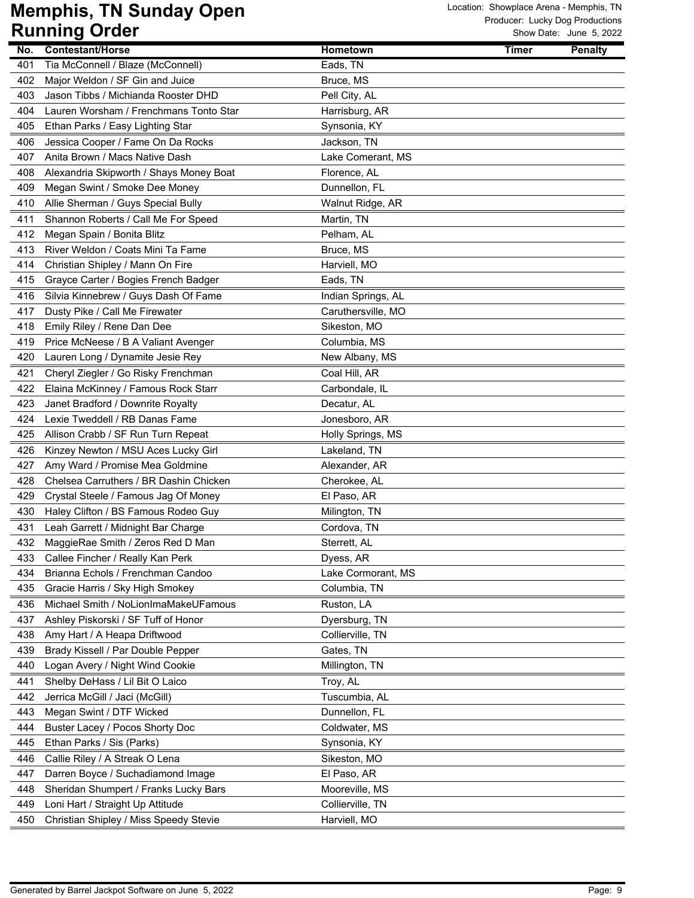|     | www.<br>$\bullet$ . $\bullet$           |                    |       |                |
|-----|-----------------------------------------|--------------------|-------|----------------|
| No. | <b>Contestant/Horse</b>                 | Hometown           | Timer | <b>Penalty</b> |
| 401 | Tia McConnell / Blaze (McConnell)       | Eads, TN           |       |                |
| 402 | Major Weldon / SF Gin and Juice         | Bruce, MS          |       |                |
| 403 | Jason Tibbs / Michianda Rooster DHD     | Pell City, AL      |       |                |
| 404 | Lauren Worsham / Frenchmans Tonto Star  | Harrisburg, AR     |       |                |
| 405 | Ethan Parks / Easy Lighting Star        | Synsonia, KY       |       |                |
| 406 | Jessica Cooper / Fame On Da Rocks       | Jackson, TN        |       |                |
| 407 | Anita Brown / Macs Native Dash          | Lake Comerant, MS  |       |                |
| 408 | Alexandria Skipworth / Shays Money Boat | Florence, AL       |       |                |
| 409 | Megan Swint / Smoke Dee Money           | Dunnellon, FL      |       |                |
| 410 | Allie Sherman / Guys Special Bully      | Walnut Ridge, AR   |       |                |
| 411 | Shannon Roberts / Call Me For Speed     | Martin, TN         |       |                |
| 412 | Megan Spain / Bonita Blitz              | Pelham, AL         |       |                |
| 413 | River Weldon / Coats Mini Ta Fame       | Bruce, MS          |       |                |
| 414 | Christian Shipley / Mann On Fire        | Harviell, MO       |       |                |
| 415 | Grayce Carter / Bogies French Badger    | Eads, TN           |       |                |
| 416 | Silvia Kinnebrew / Guys Dash Of Fame    | Indian Springs, AL |       |                |
| 417 | Dusty Pike / Call Me Firewater          | Caruthersville, MO |       |                |
| 418 | Emily Riley / Rene Dan Dee              | Sikeston, MO       |       |                |
| 419 | Price McNeese / B A Valiant Avenger     | Columbia, MS       |       |                |
| 420 | Lauren Long / Dynamite Jesie Rey        | New Albany, MS     |       |                |
| 421 | Cheryl Ziegler / Go Risky Frenchman     | Coal Hill, AR      |       |                |
| 422 | Elaina McKinney / Famous Rock Starr     | Carbondale, IL     |       |                |
| 423 | Janet Bradford / Downrite Royalty       | Decatur, AL        |       |                |
| 424 | Lexie Tweddell / RB Danas Fame          | Jonesboro, AR      |       |                |
| 425 | Allison Crabb / SF Run Turn Repeat      | Holly Springs, MS  |       |                |
| 426 | Kinzey Newton / MSU Aces Lucky Girl     | Lakeland, TN       |       |                |
| 427 | Amy Ward / Promise Mea Goldmine         | Alexander, AR      |       |                |
| 428 | Chelsea Carruthers / BR Dashin Chicken  | Cherokee, AL       |       |                |
| 429 | Crystal Steele / Famous Jag Of Money    | El Paso, AR        |       |                |
| 430 | Haley Clifton / BS Famous Rodeo Guy     | Milington, TN      |       |                |
| 431 | Leah Garrett / Midnight Bar Charge      | Cordova, TN        |       |                |
| 432 | MaggieRae Smith / Zeros Red D Man       | Sterrett, AL       |       |                |
| 433 | Callee Fincher / Really Kan Perk        | Dyess, AR          |       |                |
| 434 | Brianna Echols / Frenchman Candoo       | Lake Cormorant, MS |       |                |
| 435 | Gracie Harris / Sky High Smokey         | Columbia, TN       |       |                |
| 436 | Michael Smith / NoLionImaMakeUFamous    | Ruston, LA         |       |                |
| 437 | Ashley Piskorski / SF Tuff of Honor     | Dyersburg, TN      |       |                |
| 438 | Amy Hart / A Heapa Driftwood            | Collierville, TN   |       |                |
| 439 | Brady Kissell / Par Double Pepper       | Gates, TN          |       |                |
| 440 | Logan Avery / Night Wind Cookie         | Millington, TN     |       |                |
| 441 | Shelby DeHass / Lil Bit O Laico         | Troy, AL           |       |                |
| 442 | Jerrica McGill / Jaci (McGill)          | Tuscumbia, AL      |       |                |
| 443 | Megan Swint / DTF Wicked                | Dunnellon, FL      |       |                |
| 444 | Buster Lacey / Pocos Shorty Doc         | Coldwater, MS      |       |                |
| 445 | Ethan Parks / Sis (Parks)               | Synsonia, KY       |       |                |
| 446 | Callie Riley / A Streak O Lena          | Sikeston, MO       |       |                |
| 447 | Darren Boyce / Suchadiamond Image       | El Paso, AR        |       |                |
| 448 | Sheridan Shumpert / Franks Lucky Bars   | Mooreville, MS     |       |                |
| 449 | Loni Hart / Straight Up Attitude        | Collierville, TN   |       |                |
| 450 | Christian Shipley / Miss Speedy Stevie  | Harviell, MO       |       |                |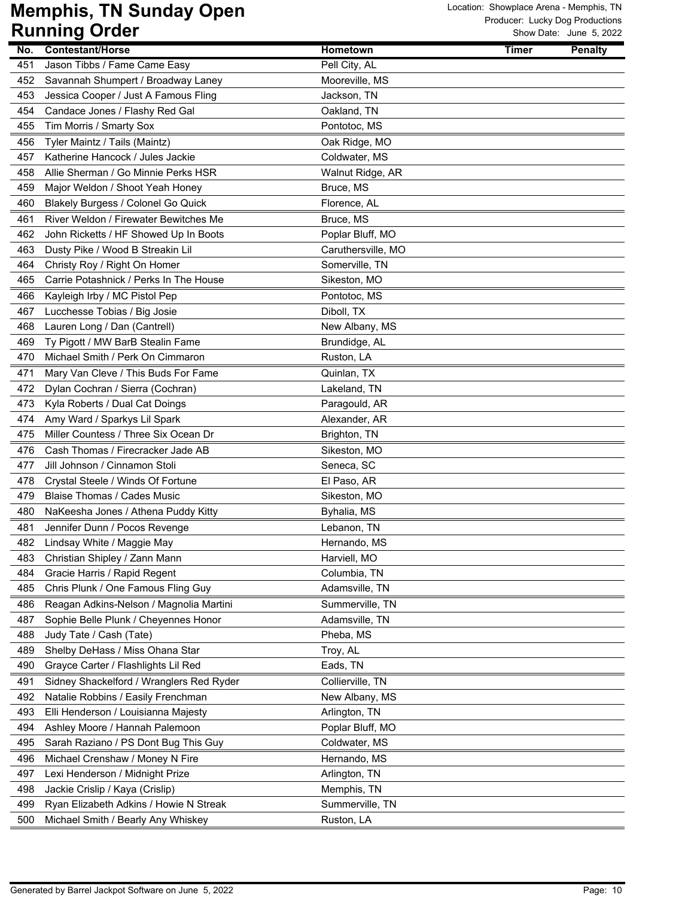|     | טיייייאי<br>$\bullet$ . $\bullet$                                     |                                   |                                |
|-----|-----------------------------------------------------------------------|-----------------------------------|--------------------------------|
| No. | <b>Contestant/Horse</b>                                               | Hometown                          | <b>Timer</b><br><b>Penalty</b> |
| 451 | Jason Tibbs / Fame Came Easy                                          | Pell City, AL                     |                                |
| 452 | Savannah Shumpert / Broadway Laney                                    | Mooreville, MS                    |                                |
| 453 | Jessica Cooper / Just A Famous Fling                                  | Jackson, TN                       |                                |
| 454 | Candace Jones / Flashy Red Gal                                        | Oakland, TN                       |                                |
| 455 | Tim Morris / Smarty Sox                                               | Pontotoc, MS                      |                                |
| 456 | Tyler Maintz / Tails (Maintz)                                         | Oak Ridge, MO                     |                                |
| 457 | Katherine Hancock / Jules Jackie                                      | Coldwater, MS                     |                                |
| 458 | Allie Sherman / Go Minnie Perks HSR                                   | Walnut Ridge, AR                  |                                |
| 459 | Major Weldon / Shoot Yeah Honey                                       | Bruce, MS                         |                                |
| 460 | Blakely Burgess / Colonel Go Quick                                    | Florence, AL                      |                                |
| 461 | River Weldon / Firewater Bewitches Me                                 | Bruce, MS                         |                                |
| 462 | John Ricketts / HF Showed Up In Boots                                 | Poplar Bluff, MO                  |                                |
| 463 | Dusty Pike / Wood B Streakin Lil                                      | Caruthersville, MO                |                                |
| 464 | Christy Roy / Right On Homer                                          | Somerville, TN                    |                                |
| 465 | Carrie Potashnick / Perks In The House                                | Sikeston, MO                      |                                |
| 466 | Kayleigh Irby / MC Pistol Pep                                         | Pontotoc, MS                      |                                |
| 467 | Lucchesse Tobias / Big Josie                                          | Diboll, TX                        |                                |
| 468 | Lauren Long / Dan (Cantrell)                                          | New Albany, MS                    |                                |
| 469 | Ty Pigott / MW BarB Stealin Fame                                      | Brundidge, AL                     |                                |
| 470 | Michael Smith / Perk On Cimmaron                                      | Ruston, LA                        |                                |
| 471 | Mary Van Cleve / This Buds For Fame                                   | Quinlan, TX                       |                                |
| 472 | Dylan Cochran / Sierra (Cochran)                                      | Lakeland, TN                      |                                |
| 473 | Kyla Roberts / Dual Cat Doings                                        | Paragould, AR                     |                                |
| 474 | Amy Ward / Sparkys Lil Spark                                          | Alexander, AR                     |                                |
| 475 | Miller Countess / Three Six Ocean Dr                                  | Brighton, TN                      |                                |
| 476 | Cash Thomas / Firecracker Jade AB                                     | Sikeston, MO                      |                                |
| 477 | Jill Johnson / Cinnamon Stoli                                         | Seneca, SC                        |                                |
| 478 | Crystal Steele / Winds Of Fortune                                     | El Paso, AR                       |                                |
| 479 | Blaise Thomas / Cades Music                                           | Sikeston, MO                      |                                |
| 480 | NaKeesha Jones / Athena Puddy Kitty                                   | Byhalia, MS                       |                                |
| 481 | Jennifer Dunn / Pocos Revenge                                         | Lebanon, TN                       |                                |
| 482 | Lindsay White / Maggie May                                            | Hernando, MS                      |                                |
| 483 | Christian Shipley / Zann Mann                                         | Harviell, MO                      |                                |
| 484 | Gracie Harris / Rapid Regent                                          | Columbia, TN                      |                                |
| 485 | Chris Plunk / One Famous Fling Guy                                    | Adamsville, TN                    |                                |
| 486 | Reagan Adkins-Nelson / Magnolia Martini                               | Summerville, TN                   |                                |
| 487 | Sophie Belle Plunk / Cheyennes Honor                                  | Adamsville, TN                    |                                |
| 488 | Judy Tate / Cash (Tate)                                               | Pheba, MS                         |                                |
| 489 | Shelby DeHass / Miss Ohana Star                                       | Troy, AL                          |                                |
| 490 | Grayce Carter / Flashlights Lil Red                                   | Eads, TN                          |                                |
| 491 | Sidney Shackelford / Wranglers Red Ryder                              |                                   |                                |
| 492 |                                                                       | Collierville, TN                  |                                |
| 493 | Natalie Robbins / Easily Frenchman                                    | New Albany, MS                    |                                |
| 494 | Elli Henderson / Louisianna Majesty<br>Ashley Moore / Hannah Palemoon | Arlington, TN<br>Poplar Bluff, MO |                                |
|     |                                                                       |                                   |                                |
| 495 | Sarah Raziano / PS Dont Bug This Guy                                  | Coldwater, MS                     |                                |
| 496 | Michael Crenshaw / Money N Fire                                       | Hernando, MS                      |                                |
| 497 | Lexi Henderson / Midnight Prize                                       | Arlington, TN                     |                                |
| 498 | Jackie Crislip / Kaya (Crislip)                                       | Memphis, TN                       |                                |
| 499 | Ryan Elizabeth Adkins / Howie N Streak                                | Summerville, TN                   |                                |
| 500 | Michael Smith / Bearly Any Whiskey                                    | Ruston, LA                        |                                |